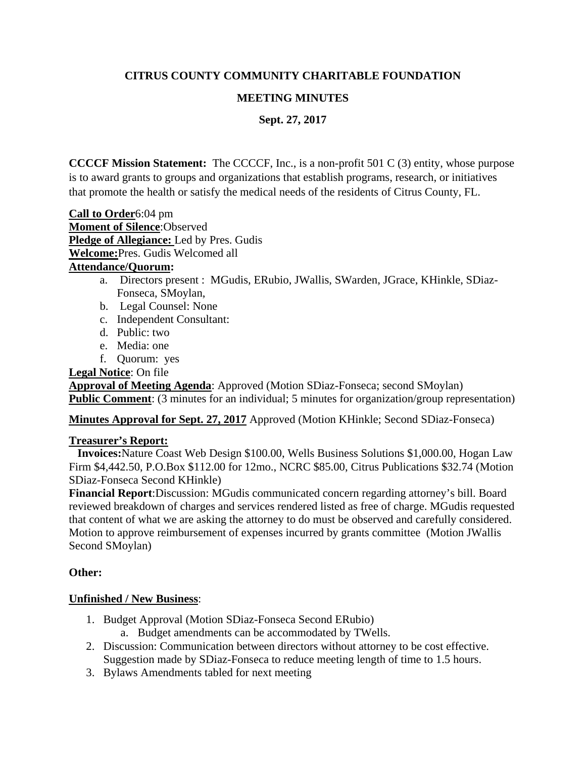# **CITRUS COUNTY COMMUNITY CHARITABLE FOUNDATION**

# **MEETING MINUTES**

**Sept. 27, 2017**

**CCCCF Mission Statement:** The CCCCF, Inc., is a non-profit 501 C (3) entity, whose purpose is to award grants to groups and organizations that establish programs, research, or initiatives that promote the health or satisfy the medical needs of the residents of Citrus County, FL.

**Call to Order**6:04 pm **Moment of Silence**:Observed **Pledge of Allegiance:** Led by Pres. Gudis **Welcome:**Pres. Gudis Welcomed all **Attendance/Quorum:**

- a. Directors present : MGudis, ERubio, JWallis, SWarden, JGrace, KHinkle, SDiaz-Fonseca, SMoylan,
- b. Legal Counsel: None
- c. Independent Consultant:
- d. Public: two
- e. Media: one
- f. Quorum: yes

**Legal Notice**: On file

**Approval of Meeting Agenda**: Approved (Motion SDiaz-Fonseca; second SMoylan) **Public Comment**: (3 minutes for an individual; 5 minutes for organization/group representation)

**Minutes Approval for Sept. 27, 2017** Approved (Motion KHinkle; Second SDiaz-Fonseca)

### **Treasurer's Report:**

 **Invoices:**Nature Coast Web Design \$100.00, Wells Business Solutions \$1,000.00, Hogan Law Firm \$4,442.50, P.O.Box \$112.00 for 12mo., NCRC \$85.00, Citrus Publications \$32.74 (Motion SDiaz-Fonseca Second KHinkle)

**Financial Report**:Discussion: MGudis communicated concern regarding attorney's bill. Board reviewed breakdown of charges and services rendered listed as free of charge. MGudis requested that content of what we are asking the attorney to do must be observed and carefully considered. Motion to approve reimbursement of expenses incurred by grants committee (Motion JWallis Second SMoylan)

# **Other:**

# **Unfinished / New Business**:

- 1. Budget Approval (Motion SDiaz-Fonseca Second ERubio)
	- a. Budget amendments can be accommodated by TWells.
- 2. Discussion: Communication between directors without attorney to be cost effective. Suggestion made by SDiaz-Fonseca to reduce meeting length of time to 1.5 hours.
- 3. Bylaws Amendments tabled for next meeting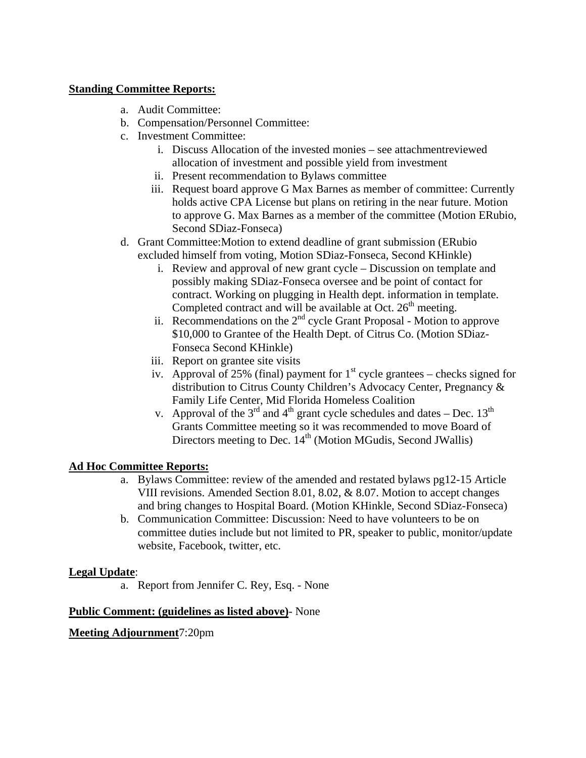### **Standing Committee Reports:**

- a. Audit Committee:
- b. Compensation/Personnel Committee:
- c. Investment Committee:
	- i. Discuss Allocation of the invested monies see attachmentreviewed allocation of investment and possible yield from investment
	- ii. Present recommendation to Bylaws committee
	- iii. Request board approve G Max Barnes as member of committee: Currently holds active CPA License but plans on retiring in the near future. Motion to approve G. Max Barnes as a member of the committee (Motion ERubio, Second SDiaz-Fonseca)
- d. Grant Committee:Motion to extend deadline of grant submission (ERubio excluded himself from voting, Motion SDiaz-Fonseca, Second KHinkle)
	- i. Review and approval of new grant cycle Discussion on template and possibly making SDiaz-Fonseca oversee and be point of contact for contract. Working on plugging in Health dept. information in template. Completed contract and will be available at Oct.  $26<sup>th</sup>$  meeting.
	- ii. Recommendations on the  $2<sup>nd</sup>$  cycle Grant Proposal Motion to approve \$10,000 to Grantee of the Health Dept. of Citrus Co. (Motion SDiaz-Fonseca Second KHinkle)
	- iii. Report on grantee site visits
	- iv. Approval of 25% (final) payment for  $1<sup>st</sup>$  cycle grantees checks signed for distribution to Citrus County Children's Advocacy Center, Pregnancy & Family Life Center, Mid Florida Homeless Coalition
	- v. Approval of the  $3<sup>rd</sup>$  and  $4<sup>th</sup>$  grant cycle schedules and dates Dec.  $13<sup>th</sup>$ Grants Committee meeting so it was recommended to move Board of Directors meeting to Dec.  $14<sup>th</sup>$  (Motion MGudis, Second JWallis)

# **Ad Hoc Committee Reports:**

- a. Bylaws Committee: review of the amended and restated bylaws pg12-15 Article VIII revisions. Amended Section 8.01, 8.02, & 8.07. Motion to accept changes and bring changes to Hospital Board. (Motion KHinkle, Second SDiaz-Fonseca)
- b. Communication Committee: Discussion: Need to have volunteers to be on committee duties include but not limited to PR, speaker to public, monitor/update website, Facebook, twitter, etc.

# **Legal Update**:

a. Report from Jennifer C. Rey, Esq. - None

### **Public Comment: (guidelines as listed above)**- None

### **Meeting Adjournment**7:20pm